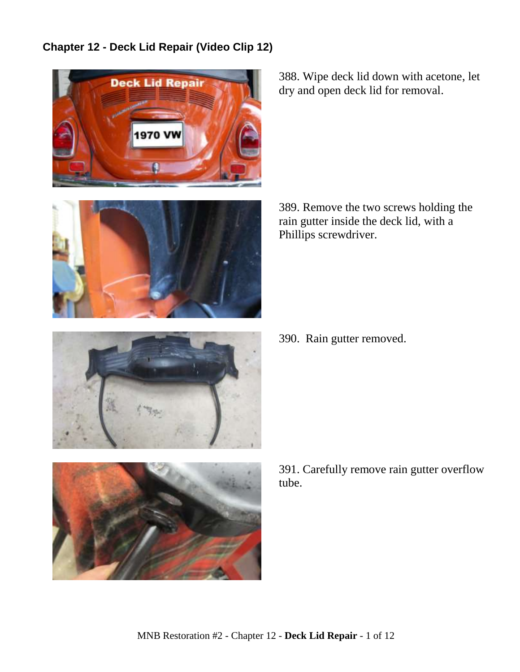**Chapter 12 - Deck Lid Repair (Video Clip 12)**





388. Wipe deck lid down with acetone, let dry and open deck lid for removal.

389. Remove the two screws holding the rain gutter inside the deck lid, with a Phillips screwdriver.

390. Rain gutter removed.





391. Carefully remove rain gutter overflow tube.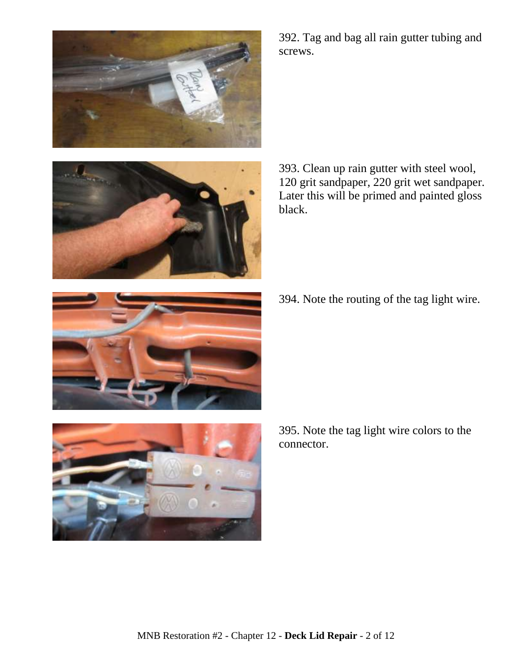



392. Tag and bag all rain gutter tubing and screws.

393. Clean up rain gutter with steel wool, 120 grit sandpaper, 220 grit wet sandpaper. Later this will be primed and painted gloss black.

394. Note the routing of the tag light wire.





395. Note the tag light wire colors to the connector.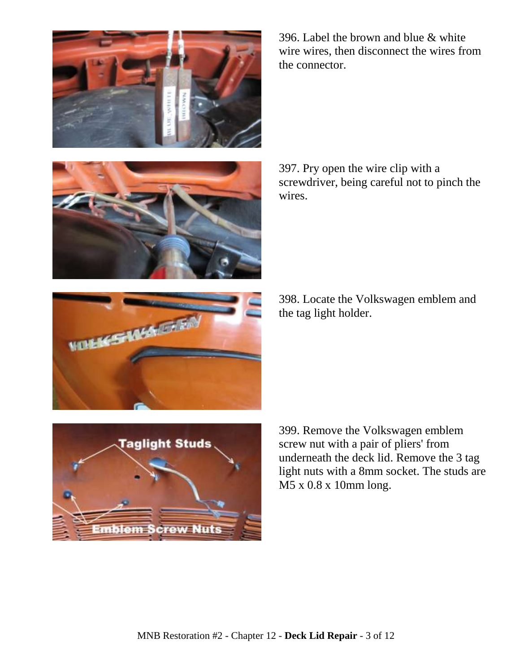

396. Label the brown and blue & white wire wires, then disconnect the wires from the connector.



397. Pry open the wire clip with a screwdriver, being careful not to pinch the wires.



398. Locate the Volkswagen emblem and the tag light holder.



399. Remove the Volkswagen emblem screw nut with a pair of pliers' from underneath the deck lid. Remove the 3 tag light nuts with a 8mm socket. The studs are M5 x 0.8 x 10mm long.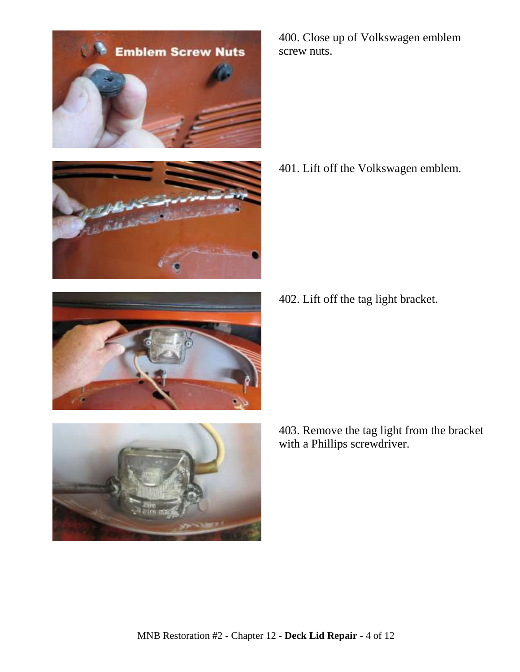



400. Close up of Volkswagen emblem screw nuts.

401. Lift off the Volkswagen emblem.

402. Lift off the tag light bracket.





403. Remove the tag light from the bracket with a Phillips screwdriver.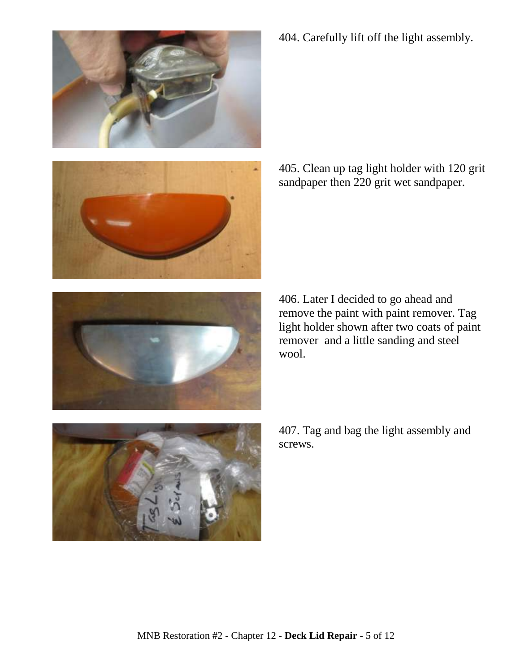







406. Later I decided to go ahead and remove the paint with paint remover. Tag light holder shown after two coats of paint remover and a little sanding and steel wool.



407. Tag and bag the light assembly and screws.

404. Carefully lift off the light assembly.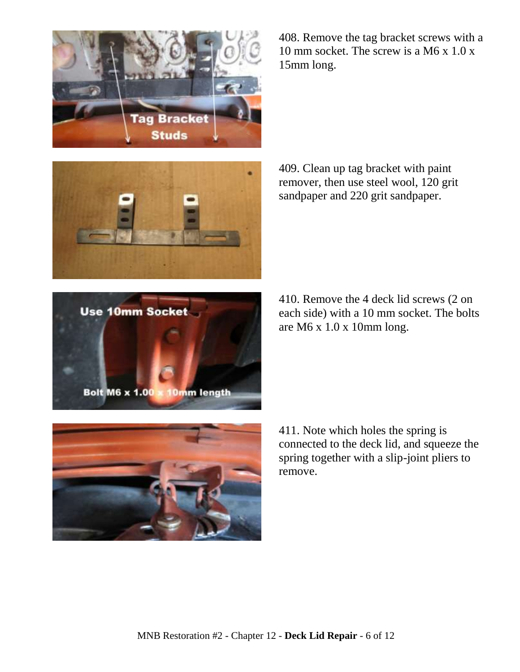





410. Remove the 4 deck lid screws (2 on each side) with a 10 mm socket. The bolts are M6 x 1.0 x 10mm long.

411. Note which holes the spring is connected to the deck lid, and squeeze the spring together with a slip-joint pliers to remove.







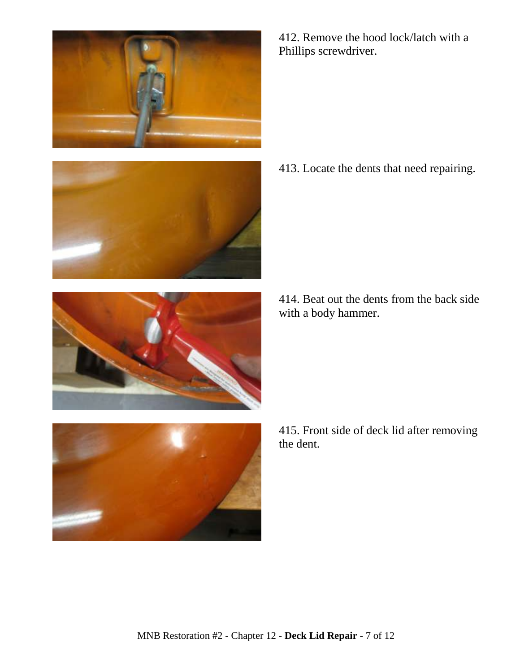



412. Remove the hood lock/latch with a Phillips screwdriver.

413. Locate the dents that need repairing.

414. Beat out the dents from the back side with a body hammer.



415. Front side of deck lid after removing the dent.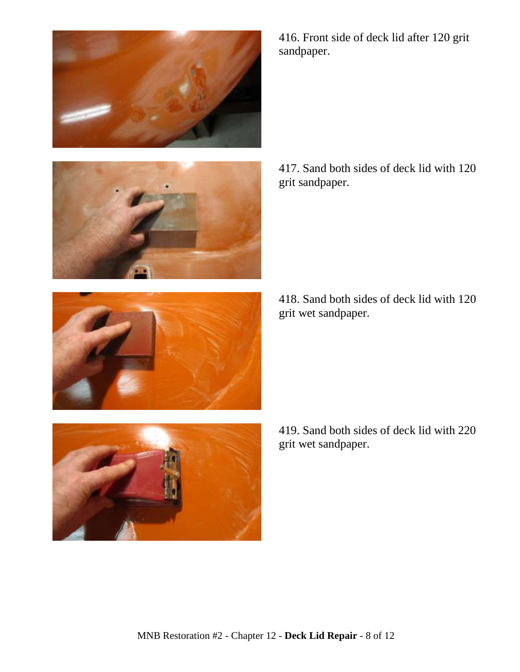



416. Front side of deck lid after 120 grit sandpaper.

417. Sand both sides of deck lid with 120 grit sandpaper.

418. Sand both sides of deck lid with 120 grit wet sandpaper.



419. Sand both sides of deck lid with 220 grit wet sandpaper.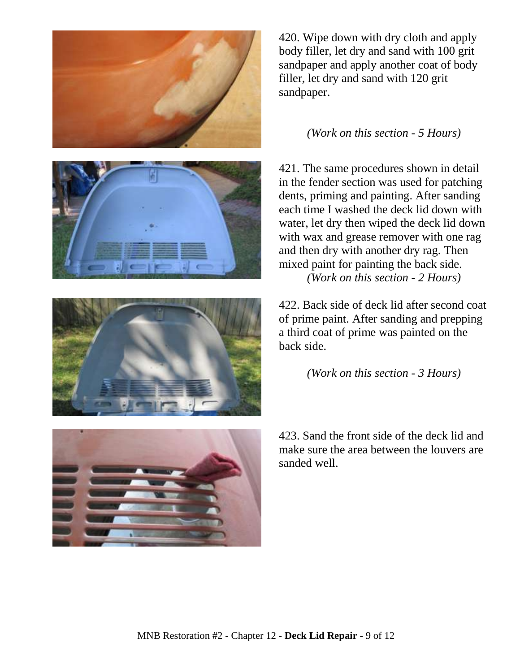







420. Wipe down with dry cloth and apply body filler, let dry and sand with 100 grit sandpaper and apply another coat of body filler, let dry and sand with 120 grit sandpaper.

## *(Work on this section - 5 Hours)*

421. The same procedures shown in detail in the fender section was used for patching dents, priming and painting. After sanding each time I washed the deck lid down with water, let dry then wiped the deck lid down with wax and grease remover with one rag and then dry with another dry rag. Then mixed paint for painting the back side. *(Work on this section - 2 Hours)*

422. Back side of deck lid after second coat of prime paint. After sanding and prepping a third coat of prime was painted on the back side.

*(Work on this section - 3 Hours)*

423. Sand the front side of the deck lid and make sure the area between the louvers are sanded well.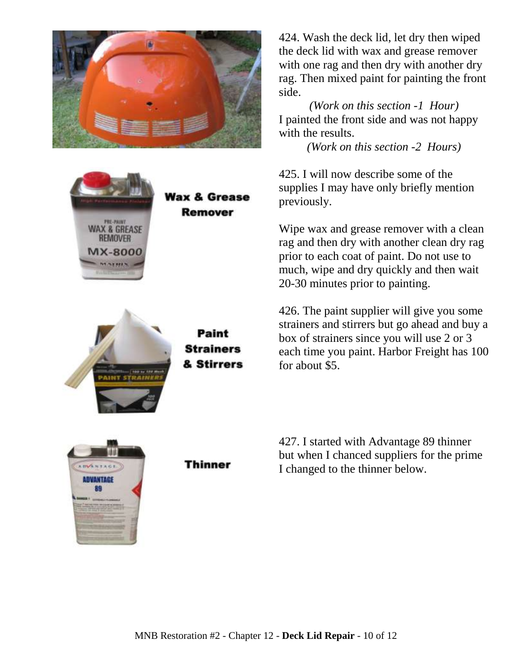





Paint **Strainers** & Stirrers

424. Wash the deck lid, let dry then wiped the deck lid with wax and grease remover with one rag and then dry with another dry rag. Then mixed paint for painting the front side.

*(Work on this section -1 Hour)* I painted the front side and was not happy with the results.

*(Work on this section -2 Hours)*

425. I will now describe some of the supplies I may have only briefly mention previously.

Wipe wax and grease remover with a clean rag and then dry with another clean dry rag prior to each coat of paint. Do not use to much, wipe and dry quickly and then wait 20-30 minutes prior to painting.

426. The paint supplier will give you some strainers and stirrers but go ahead and buy a box of strainers since you will use 2 or 3 each time you paint. Harbor Freight has 100 for about \$5.



Thinner

427. I started with Advantage 89 thinner but when I chanced suppliers for the prime I changed to the thinner below.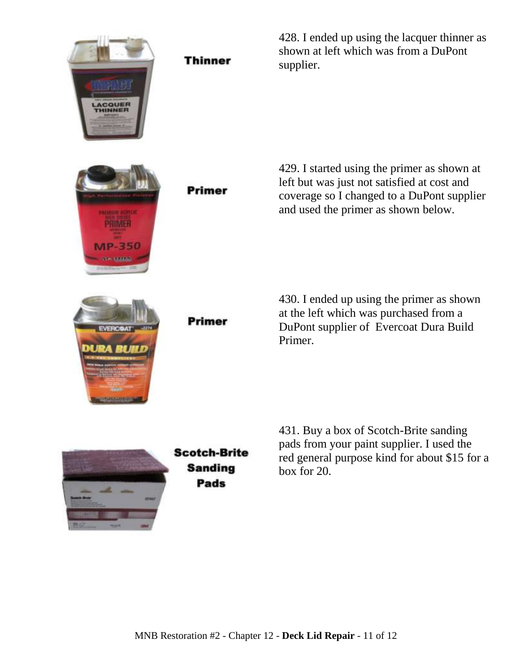